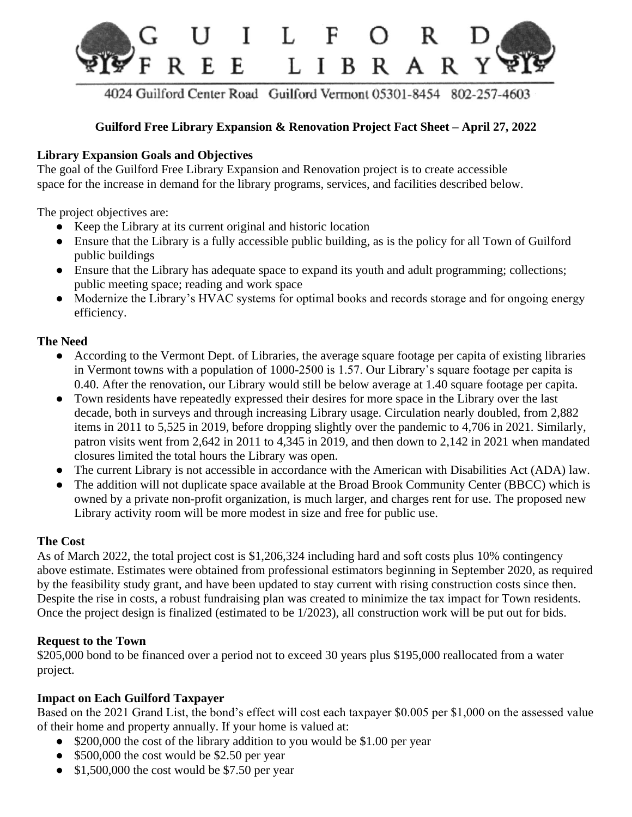

4024 Guilford Center Road Guilford Vermont 05301-8454 802-257-4603

### **Guilford Free Library Expansion & Renovation Project Fact Sheet – April 27, 2022**

#### **Library Expansion Goals and Objectives**

The goal of the Guilford Free Library Expansion and Renovation project is to create accessible space for the increase in demand for the library programs, services, and facilities described below.

The project objectives are:

- Keep the Library at its current original and historic location
- Ensure that the Library is a fully accessible public building, as is the policy for all Town of Guilford public buildings
- Ensure that the Library has adequate space to expand its youth and adult programming; collections; public meeting space; reading and work space
- Modernize the Library's HVAC systems for optimal books and records storage and for ongoing energy efficiency.

#### **The Need**

- According to the Vermont Dept. of Libraries, the average square footage per capita of existing libraries in Vermont towns with a population of 1000-2500 is 1.57. Our Library's square footage per capita is 0.40. After the renovation, our Library would still be below average at 1.40 square footage per capita.
- Town residents have repeatedly expressed their desires for more space in the Library over the last decade, both in surveys and through increasing Library usage. Circulation nearly doubled, from 2,882 items in 2011 to 5,525 in 2019, before dropping slightly over the pandemic to 4,706 in 2021. Similarly, patron visits went from 2,642 in 2011 to 4,345 in 2019, and then down to 2,142 in 2021 when mandated closures limited the total hours the Library was open.
- The current Library is not accessible in accordance with the American with Disabilities Act (ADA) law.
- The addition will not duplicate space available at the Broad Brook Community Center (BBCC) which is owned by a private non-profit organization, is much larger, and charges rent for use. The proposed new Library activity room will be more modest in size and free for public use.

#### **The Cost**

As of March 2022, the total project cost is \$1,206,324 including hard and soft costs plus 10% contingency above estimate. Estimates were obtained from professional estimators beginning in September 2020, as required by the feasibility study grant, and have been updated to stay current with rising construction costs since then. Despite the rise in costs, a robust fundraising plan was created to minimize the tax impact for Town residents. Once the project design is finalized (estimated to be 1/2023), all construction work will be put out for bids.

#### **Request to the Town**

\$205,000 bond to be financed over a period not to exceed 30 years plus \$195,000 reallocated from a water project.

#### **Impact on Each Guilford Taxpayer**

Based on the 2021 Grand List, the bond's effect will cost each taxpayer \$0.005 per \$1,000 on the assessed value of their home and property annually. If your home is valued at:

- \$200,000 the cost of the library addition to you would be \$1.00 per year
- \$500,000 the cost would be \$2.50 per year
- \$1,500,000 the cost would be \$7.50 per year